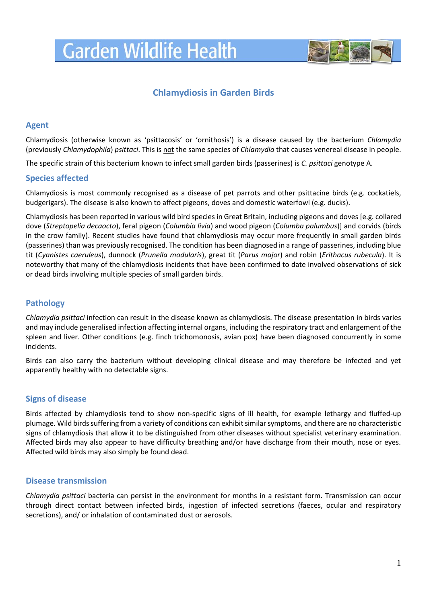# **Garden Wildlife Health**



## **Chlamydiosis in Garden Birds**

#### **Agent**

Chlamydiosis (otherwise known as 'psittacosis' or 'ornithosis') is a disease caused by the bacterium *Chlamydia*  (previously *Chlamydophila*) *psittaci*. This is not the same species of *Chlamydia* that causes venereal disease in people.

The specific strain of this bacterium known to infect small garden birds (passerines) is *C. psittaci* genotype A.

#### **Species affected**

Chlamydiosis is most commonly recognised as a disease of pet parrots and other psittacine birds (e.g. cockatiels, budgerigars). The disease is also known to affect pigeons, doves and domestic waterfowl (e.g. ducks).

Chlamydiosis has been reported in various wild bird species in Great Britain, including pigeons and doves [e.g. collared dove (*Streptopelia decaocto*), feral pigeon (*Columbia livia*) and wood pigeon (*Columba palumbus*)] and corvids (birds in the crow family). Recent studies have found that chlamydiosis may occur more frequently in small garden birds (passerines) than was previously recognised. The condition has been diagnosed in a range of passerines, including blue tit (*Cyanistes caeruleus*), dunnock (*Prunella modularis*), great tit (*Parus major*) and robin (*Erithacus rubecula*). It is noteworthy that many of the chlamydiosis incidents that have been confirmed to date involved observations of sick or dead birds involving multiple species of small garden birds.

### **Pathology**

*Chlamydia psittaci* infection can result in the disease known as chlamydiosis. The disease presentation in birds varies and may include generalised infection affecting internal organs, including the respiratory tract and enlargement of the spleen and liver. Other conditions (e.g. finch trichomonosis, avian pox) have been diagnosed concurrently in some incidents.

Birds can also carry the bacterium without developing clinical disease and may therefore be infected and yet apparently healthy with no detectable signs.

#### **Signs of disease**

Birds affected by chlamydiosis tend to show non-specific signs of ill health, for example lethargy and fluffed-up plumage. Wild birds suffering from a variety of conditions can exhibit similar symptoms, and there are no characteristic signs of chlamydiosis that allow it to be distinguished from other diseases without specialist veterinary examination. Affected birds may also appear to have difficulty breathing and/or have discharge from their mouth, nose or eyes. Affected wild birds may also simply be found dead.

#### **Disease transmission**

*Chlamydia psittaci* bacteria can persist in the environment for months in a resistant form. Transmission can occur through direct contact between infected birds, ingestion of infected secretions (faeces, ocular and respiratory secretions), and/ or inhalation of contaminated dust or aerosols.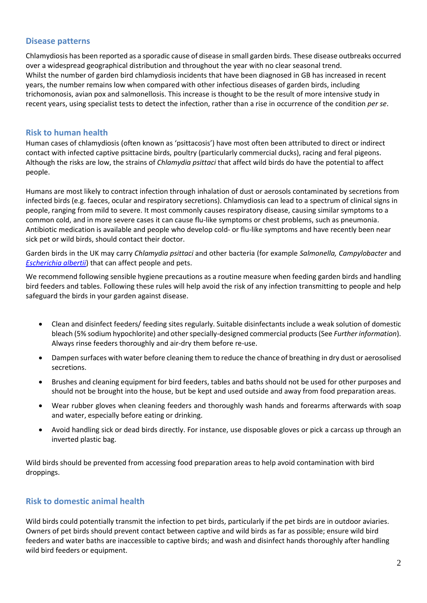#### **Disease patterns**

Chlamydiosis has been reported as a sporadic cause of disease in small garden birds. These disease outbreaks occurred over a widespread geographical distribution and throughout the year with no clear seasonal trend. Whilst the number of garden bird chlamydiosis incidents that have been diagnosed in GB has increased in recent years, the number remains low when compared with other infectious diseases of garden birds, including trichomonosis, avian pox and salmonellosis. This increase is thought to be the result of more intensive study in recent years, using specialist tests to detect the infection, rather than a rise in occurrence of the condition *per se*.

### **Risk to human health**

Human cases of chlamydiosis (often known as 'psittacosis') have most often been attributed to direct or indirect contact with infected captive psittacine birds, poultry (particularly commercial ducks), racing and feral pigeons. Although the risks are low, the strains of *Chlamydia psittaci* that affect wild birds do have the potential to affect people.

Humans are most likely to contract infection through inhalation of dust or aerosols contaminated by secretions from infected birds (e.g. faeces, ocular and respiratory secretions). Chlamydiosis can lead to a spectrum of clinical signs in people, ranging from mild to severe. It most commonly causes respiratory disease, causing similar symptoms to a common cold, and in more severe cases it can cause flu-like symptoms or chest problems, such as pneumonia. Antibiotic medication is available and people who develop cold- or flu-like symptoms and have recently been near sick pet or wild birds, should contact their doctor.

Garden birds in the UK may carry *Chlamydia psittaci* and other bacteria (for example *Salmonella, Campylobacter* and *[Escherichia albertii](http://www.gardenwildlifehealth.org/files/2013/06/Garden-bird-Escherichia-albertii-factsheet_GWH.pdf)*) that can affect people and pets.

We recommend following sensible hygiene precautions as a routine measure when feeding garden birds and handling bird feeders and tables. Following these rules will help avoid the risk of any infection transmitting to people and help safeguard the birds in your garden against disease.

- Clean and disinfect feeders/ feeding sites regularly. Suitable disinfectants include a weak solution of domestic bleach (5% sodium hypochlorite) and other specially-designed commercial products (See *Further information*). Always rinse feeders thoroughly and air-dry them before re-use.
- Dampen surfaces with water before cleaning them to reduce the chance of breathing in dry dust or aerosolised secretions.
- Brushes and cleaning equipment for bird feeders, tables and baths should not be used for other purposes and should not be brought into the house, but be kept and used outside and away from food preparation areas.
- Wear rubber gloves when cleaning feeders and thoroughly wash hands and forearms afterwards with soap and water, especially before eating or drinking.
- Avoid handling sick or dead birds directly. For instance, use disposable gloves or pick a carcass up through an inverted plastic bag.

Wild birds should be prevented from accessing food preparation areas to help avoid contamination with bird droppings.

### **Risk to domestic animal health**

Wild birds could potentially transmit the infection to pet birds, particularly if the pet birds are in outdoor aviaries. Owners of pet birds should prevent contact between captive and wild birds as far as possible; ensure wild bird feeders and water baths are inaccessible to captive birds; and wash and disinfect hands thoroughly after handling wild bird feeders or equipment.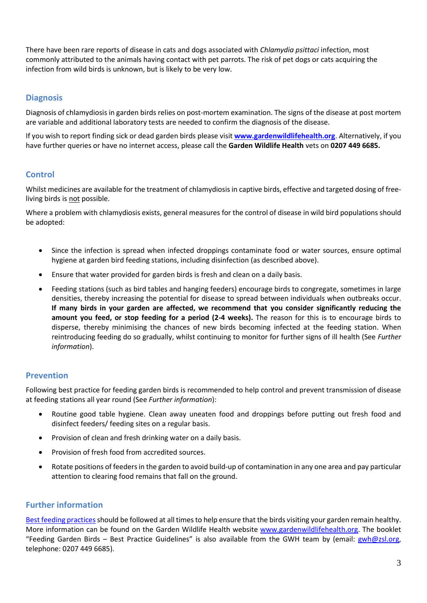There have been rare reports of disease in cats and dogs associated with *Chlamydia psittaci* infection, most commonly attributed to the animals having contact with pet parrots. The risk of pet dogs or cats acquiring the infection from wild birds is unknown, but is likely to be very low.

### **Diagnosis**

Diagnosis of chlamydiosisin garden birds relies on post-mortem examination. The signs of the disease at post mortem are variable and additional laboratory tests are needed to confirm the diagnosis of the disease.

If you wish to report finding sick or dead garden birds please visit **[www.gardenwildlifehealth.org](http://www.gardenwildlifehealth.org/)**. Alternatively, if you have further queries or have no internet access, please call the **Garden Wildlife Health** vets on **0207 449 6685.**

### **Control**

Whilst medicines are available for the treatment of chlamydiosis in captive birds, effective and targeted dosing of freeliving birds is not possible.

Where a problem with chlamydiosis exists, general measures for the control of disease in wild bird populations should be adopted:

- Since the infection is spread when infected droppings contaminate food or water sources, ensure optimal hygiene at garden bird feeding stations, including disinfection (as described above).
- Ensure that water provided for garden birds is fresh and clean on a daily basis.
- Feeding stations (such as bird tables and hanging feeders) encourage birds to congregate, sometimes in large densities, thereby increasing the potential for disease to spread between individuals when outbreaks occur. **If many birds in your garden are affected, we recommend that you consider significantly reducing the amount you feed, or stop feeding for a period (2-4 weeks).** The reason for this is to encourage birds to disperse, thereby minimising the chances of new birds becoming infected at the feeding station. When reintroducing feeding do so gradually, whilst continuing to monitor for further signs of ill health (See *Further information*).

### **Prevention**

Following best practice for feeding garden birds is recommended to help control and prevent transmission of disease at feeding stations all year round (See *Further information*):

- Routine good table hygiene. Clean away uneaten food and droppings before putting out fresh food and disinfect feeders/ feeding sites on a regular basis.
- Provision of clean and fresh drinking water on a daily basis.
- Provision of fresh food from accredited sources.
- Rotate positions of feeders in the garden to avoid build-up of contamination in any one area and pay particular attention to clearing food remains that fall on the ground.

### **Further information**

Best feeding practices should be followed at all times to help ensure that the birds visiting your garden remain healthy. More information can be found on the Garden Wildlife Health website [www.gardenwildlifehealth.org.](http://www.gardenwildlifehealth.org/) The booklet "Feeding Garden Birds – Best Practice Guidelines" is also available from the GWH team by (email: [gwh@zsl.org,](mailto:gwh@zsl.org) telephone: 0207 449 6685).